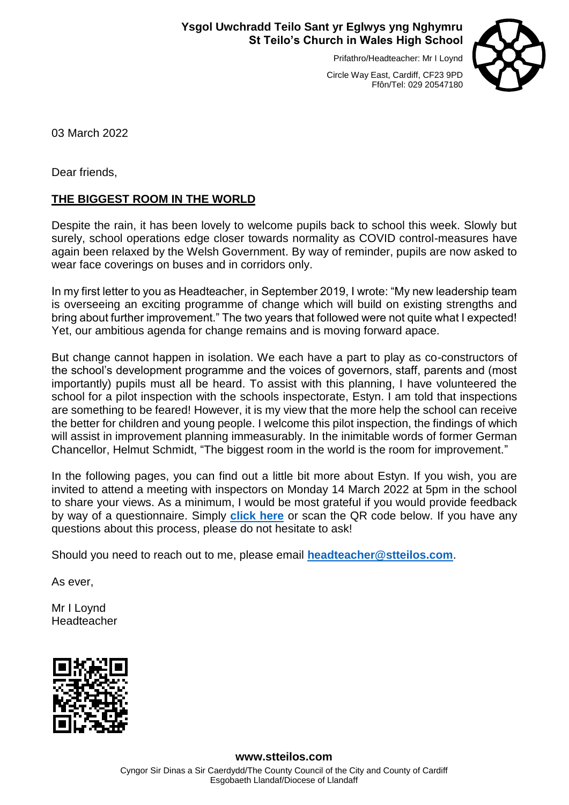# **Ysgol Uwchradd Teilo Sant yr Eglwys yng Nghymru St Teilo's Church in Wales High School**

Prifathro/Headteacher: Mr I Loynd



Circle Way East, Cardiff, CF23 9PD Ffôn/Tel: 029 20547180

03 March 2022

Dear friends,

# **THE BIGGEST ROOM IN THE WORLD**

Despite the rain, it has been lovely to welcome pupils back to school this week. Slowly but surely, school operations edge closer towards normality as COVID control-measures have again been relaxed by the Welsh Government. By way of reminder, pupils are now asked to wear face coverings on buses and in corridors only.

In my first letter to you as Headteacher, in September 2019, I wrote: "My new leadership team is overseeing an exciting programme of change which will build on existing strengths and bring about further improvement." The two years that followed were not quite what I expected! Yet, our ambitious agenda for change remains and is moving forward apace.

But change cannot happen in isolation. We each have a part to play as co-constructors of the school's development programme and the voices of governors, staff, parents and (most importantly) pupils must all be heard. To assist with this planning, I have volunteered the school for a pilot inspection with the schools inspectorate, Estyn. I am told that inspections are something to be feared! However, it is my view that the more help the school can receive the better for children and young people. I welcome this pilot inspection, the findings of which will assist in improvement planning immeasurably. In the inimitable words of former German Chancellor, Helmut Schmidt, "The biggest room in the world is the room for improvement."

In the following pages, you can find out a little bit more about Estyn. If you wish, you are invited to attend a meeting with inspectors on Monday 14 March 2022 at 5pm in the school to share your views. As a minimum, I would be most grateful if you would provide feedback by way of a questionnaire. Simply **[click here](https://www.smartsurvey.co.uk/s/5CKQC1/)** or scan the QR code below. If you have any questions about this process, please do not hesitate to ask!

Should you need to reach out to me, please email **[headteacher@stteilos.com](mailto:headteacher@stteilos.com)**.

As ever,

Mr I Loynd Headteacher